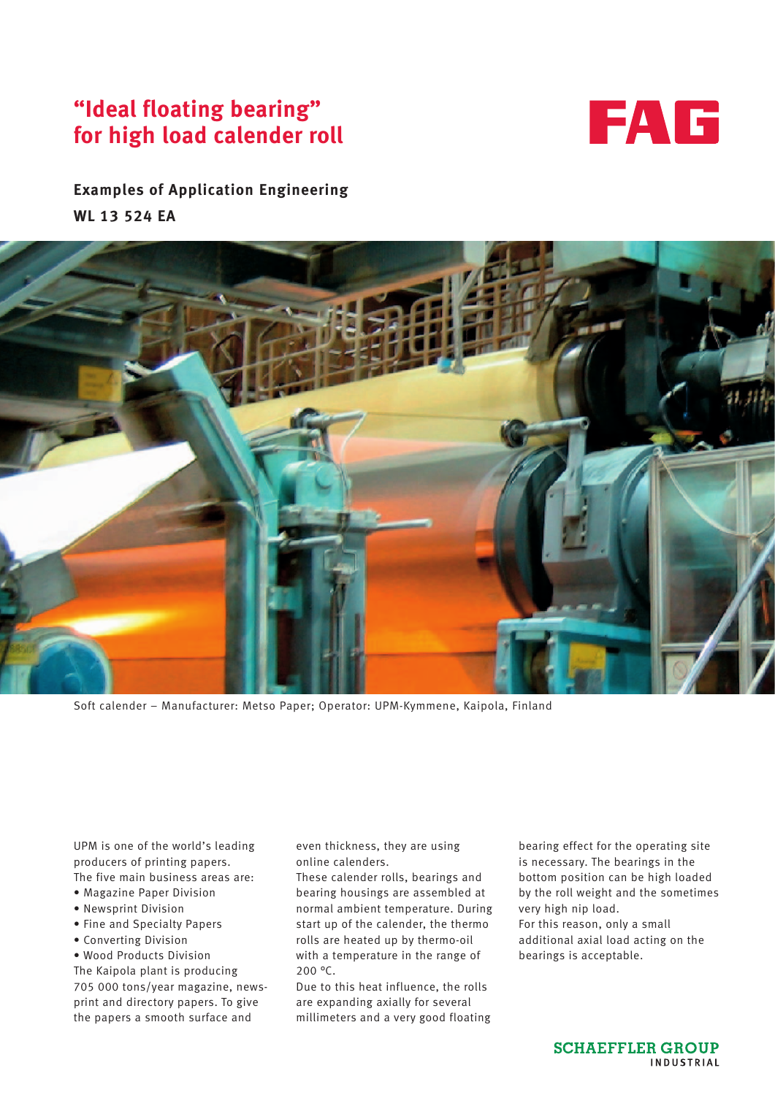## **"Ideal floating bearing" for high load calender roll**



## **Examples of Application Engineering WL 13 524 EA**



Soft calender – Manufacturer: Metso Paper; Operator: UPM-Kymmene, Kaipola, Finland

UPM is one of the world's leading producers of printing papers. The five main business areas are:

- Magazine Paper Division
- Newsprint Division
- Fine and Specialty Papers
- Converting Division
- Wood Products Division

The Kaipola plant is producing 705 000 tons/year magazine, newsprint and directory papers. To give the papers a smooth surface and

even thickness, they are using online calenders.

These calender rolls, bearings and bearing housings are assembled at normal ambient temperature. During start up of the calender, the thermo rolls are heated up by thermo-oil with a temperature in the range of 200 °C.

Due to this heat influence, the rolls are expanding axially for several millimeters and a very good floating bearing effect for the operating site is necessary. The bearings in the bottom position can be high loaded by the roll weight and the sometimes very high nip load. For this reason, only a small additional axial load acting on the bearings is acceptable.